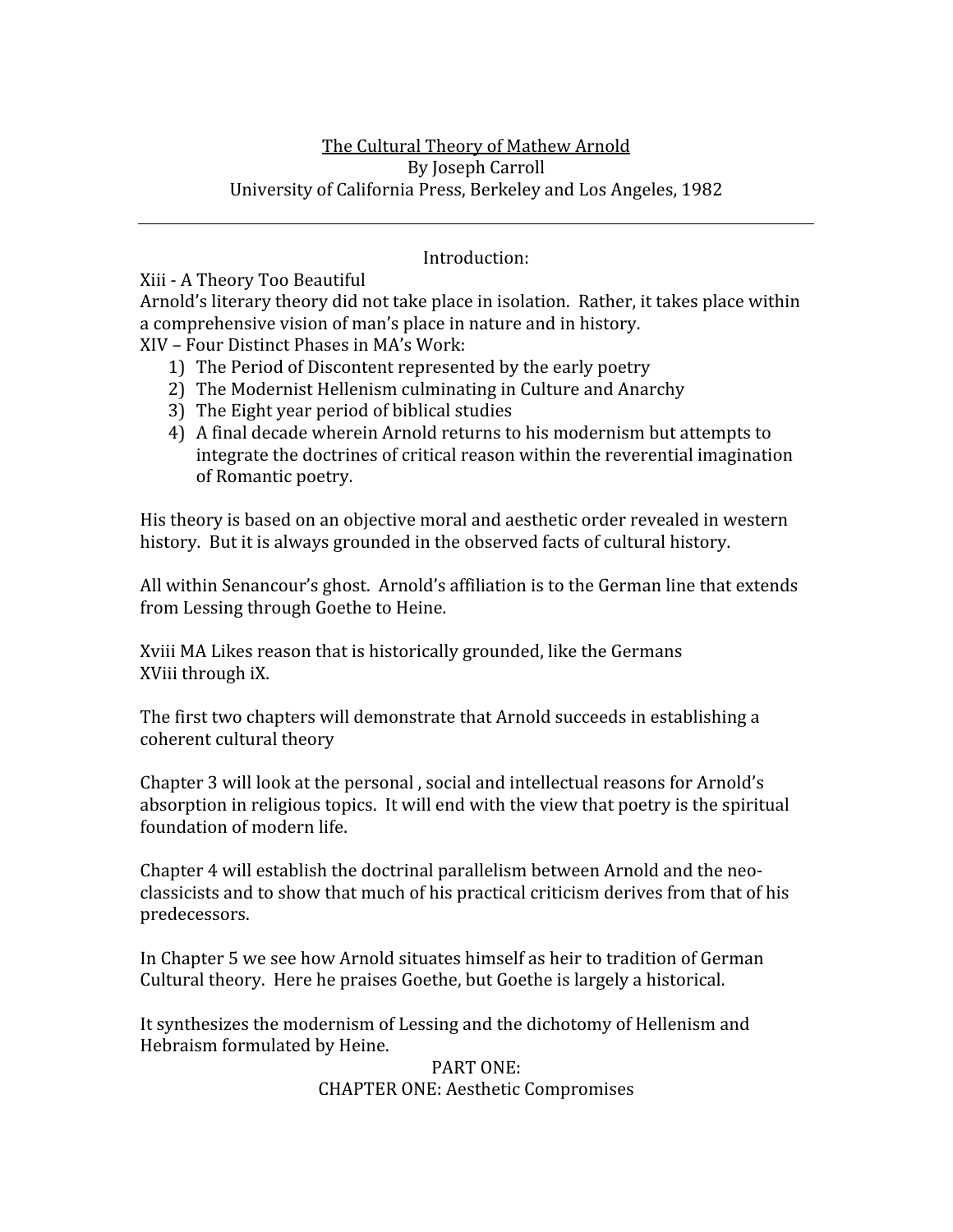### Introduction:

Xiii
‐
A
Theory
Too
Beautiful

Arnold's literary theory did not take place in isolation. Rather, it takes place within a
comprehensive
vision
of
man's
place
in
nature
and
in
history. XIV
–
Four
Distinct
Phases
in
MA's
Work:

- 1) The
Period
of
Discontent
represented
by
the
early
poetry
- 2) The
Modernist
Hellenism
culminating
in
Culture
and
Anarchy
- 3) The
Eight
year
period
of
biblical
studies
- 4) A
final
decade
wherein
Arnold
returns
to
his
modernism
but
attempts
to integrate
the
doctrines
of
critical
reason
within
the
reverential
imagination of
Romantic
poetry.

His
theory
is
based
on
an
objective
moral
and
aesthetic
order
revealed
in
western history. But it is always grounded in the observed facts of cultural history.

All within Senancour's ghost. Arnold's affiliation is to the German line that extends from
Lessing
through
Goethe
to
Heine.

Xviii MA Likes reason that is historically grounded, like the Germans XViii
through
iX.

The
first
two
chapters
will
demonstrate
that
Arnold
succeeds
in
establishing
a coherent
cultural
theory

Chapter 3 will look at the personal, social and intellectual reasons for Arnold's absorption in religious topics. It will end with the view that poetry is the spiritual foundation
of
modern
life.

Chapter
4
will
establish
the
doctrinal
parallelism
between
Arnold
and
the
neo‐ classicists
and
to
show
that
much
of
his
practical
criticism
derives
from
that
of
his predecessors.

In
Chapter
5
we
see
how
Arnold
situates
himself
as
heir
to
tradition
of
German Cultural
theory.

Here
he
praises
Goethe,
but
Goethe
is
largely
a
historical.

It synthesizes the modernism of Lessing and the dichotomy of Hellenism and Hebraism
formulated
by
Heine.

> PART
> ONE: CHAPTER
> ONE:
> Aesthetic
> Compromises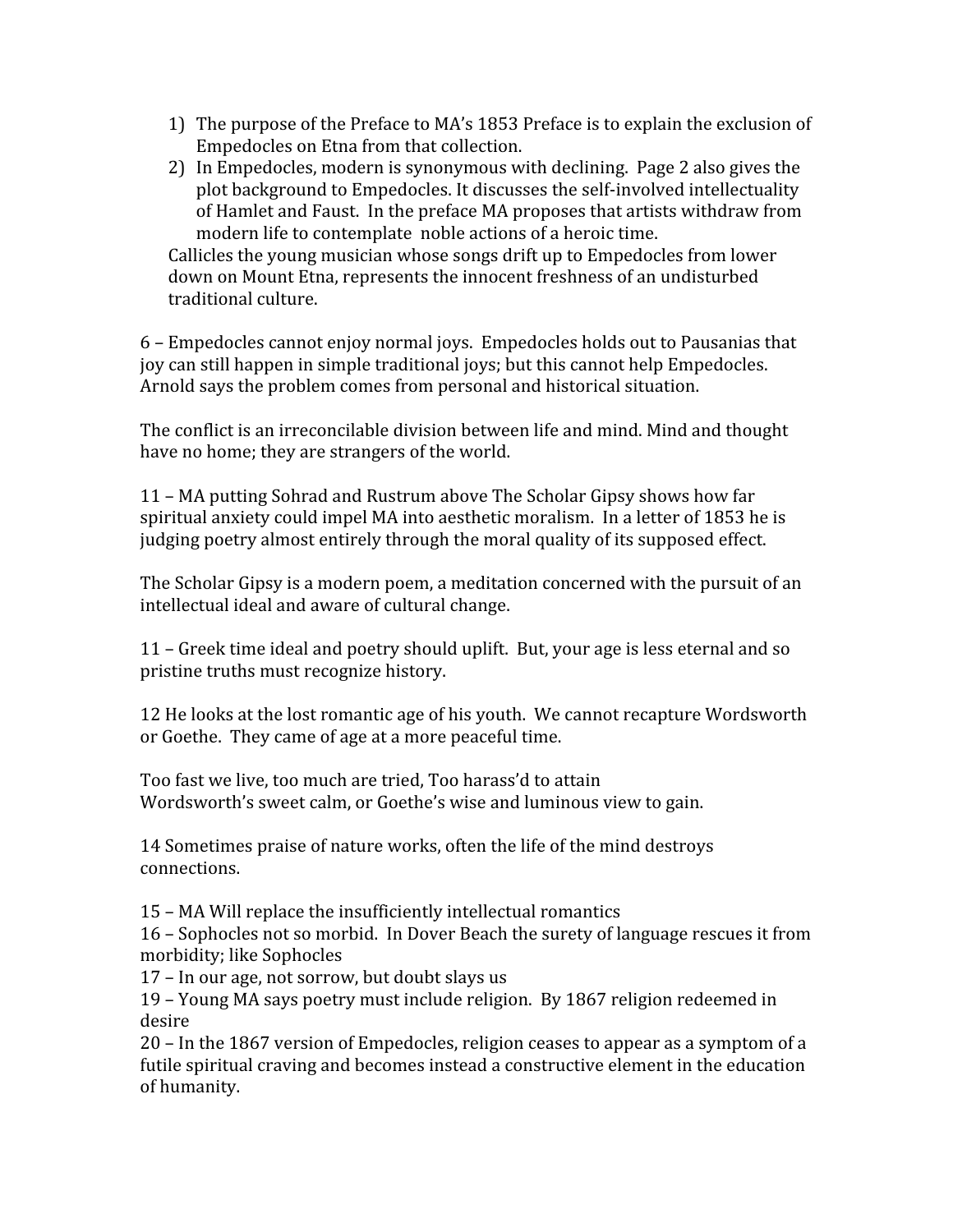- 1) The
purpose
of
the
Preface
to
MA's
1853
Preface
is
to
explain
the
exclusion
of Empedocles
on
Etna
from
that
collection.
- 2) In
Empedocles,
modern
is
synonymous
with
declining.

Page
2
also
gives
the plot
background
to
Empedocles.
It
discusses
the
self‐involved
intellectuality of Hamlet and Faust. In the preface MA proposes that artists withdraw from modern life to contemplate noble actions of a heroic time.

Callicles
the
young
musician
whose
songs
drift
up
to
Empedocles
from
lower down
on
Mount
Etna,
represents
the
innocent
freshness
of
an
undisturbed traditional
culture.

6
–
Empedocles
cannot
enjoy
normal
joys.

Empedocles
holds
out
to
Pausanias
that joy
can
still
happen
in
simple
traditional
joys;
but
this
cannot
help
Empedocles. Arnold
says
the
problem
comes
from
personal
and
historical
situation.

The
conflict
is
an
irreconcilable
division
between
life
and
mind.
Mind
and
thought have no home; they are strangers of the world.

11
–
MA
putting
Sohrad
and
Rustrum
above
The
Scholar
Gipsy
shows
how
far spiritual anxiety could impel MA into aesthetic moralism. In a letter of 1853 he is judging poetry almost entirely through the moral quality of its supposed effect.

The Scholar Gipsy is a modern poem, a meditation concerned with the pursuit of an intellectual
ideal
and
aware
of
cultural
change.

11
–
Greek
time
ideal
and
poetry
should
uplift.

But,
your
age
is
less
eternal
and
so pristine
truths
must
recognize
history.

12 He looks at the lost romantic age of his youth. We cannot recapture Wordsworth or
Goethe.

They
came
of
age
at
a
more
peaceful
time.

Too fast we live, too much are tried. Too harass'd to attain Wordsworth's sweet calm, or Goethe's wise and luminous view to gain.

14
Sometimes
praise
of
nature
works,
often
the
life
of
the
mind
destroys connections.

15
–
MA
Will
replace
the
insufficiently
intellectual
romantics

16
–
Sophocles
not
so
morbid.

In
Dover
Beach
the
surety
of
language
rescues
it
from morbidity;
like
Sophocles

17 – In our age, not sorrow, but doubt slays us

19
–
Young
MA
says
poetry
must
include
religion.

By
1867
religion
redeemed
in desire

20
–
In
the
1867
version
of
Empedocles,
religion
ceases
to
appear
as
a
symptom
of
a futile spiritual craving and becomes instead a constructive element in the education of
humanity.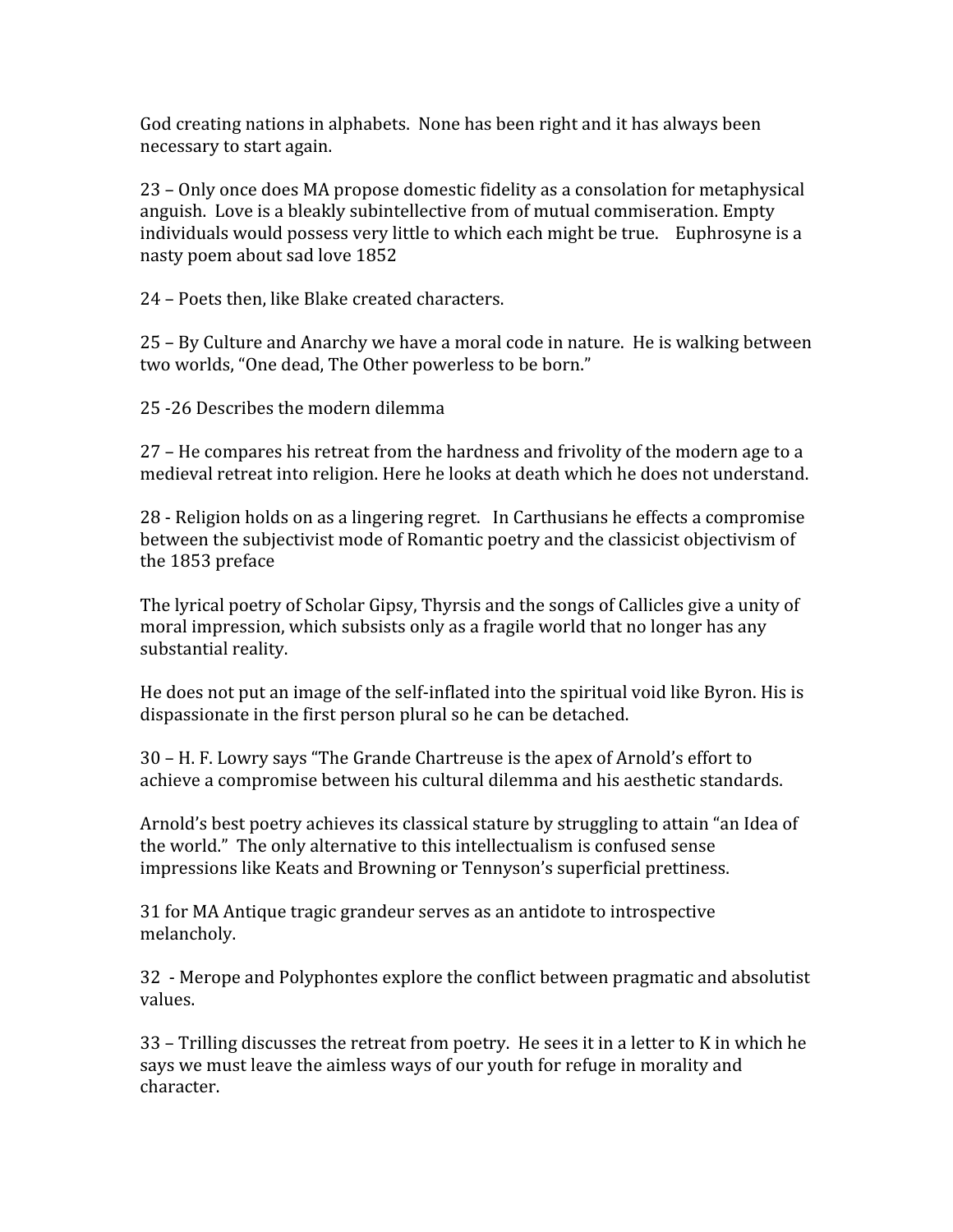God creating nations in alphabets. None has been right and it has always been necessary
to
start
again.

23
–
Only
once
does
MA
propose
domestic
fidelity
as
a
consolation
for
metaphysical anguish. Love is a bleakly subintellective from of mutual commiseration. Empty individuals would possess very little to which each might be true. Euphrosyne is a nasty
poem
about
sad
love
1852

24
–
Poets
then,
like
Blake
created
characters.

25
–
By
Culture
and
Anarchy
we
have
a
moral
code
in
nature.

He
is
walking
between two worlds, "One dead, The Other powerless to be born."

25
‐26
Describes
the
modern
dilemma

27 – He compares his retreat from the hardness and frivolity of the modern age to a medieval
retreat
into
religion.
Here
he
looks
at
death
which
he
does
not
understand.

28
‐
Religion
holds
on
as
a
lingering
regret.

In
Carthusians
he
effects
a
compromise between the subjectivist mode of Romantic poetry and the classicist objectivism of the
1853
preface

The
lyrical
poetry
of
Scholar
Gipsy,
Thyrsis
and
the
songs
of
Callicles
give
a
unity
of moral
impression,
which
subsists
only
as
a
fragile
world
that
no
longer
has
any substantial
reality.

He does not put an image of the self-inflated into the spiritual void like Byron. His is dispassionate
in
the
first
person
plural
so
he
can
be
detached.

30
–
H.
F.
Lowry
says
"The
Grande
Chartreuse
is
the
apex
of
Arnold's
effort
to achieve
a
compromise
between
his
cultural
dilemma
and
his
aesthetic
standards.

Arnold's best poetry achieves its classical stature by struggling to attain "an Idea of the
world."

The
only
alternative
to
this
intellectualism
is
confused
sense impressions
like
Keats
and
Browning
or
Tennyson's
superficial
prettiness.

31
for
MA
Antique
tragic
grandeur
serves
as
an
antidote
to
introspective melancholy.

32

‐
Merope
and
Polyphontes
explore
the
conflict
between
pragmatic
and
absolutist values.

33
–
Trilling
discusses
the
retreat
from
poetry.

He
sees
it
in
a
letter
to
K
in
which
he says we must leave the aimless ways of our youth for refuge in morality and character.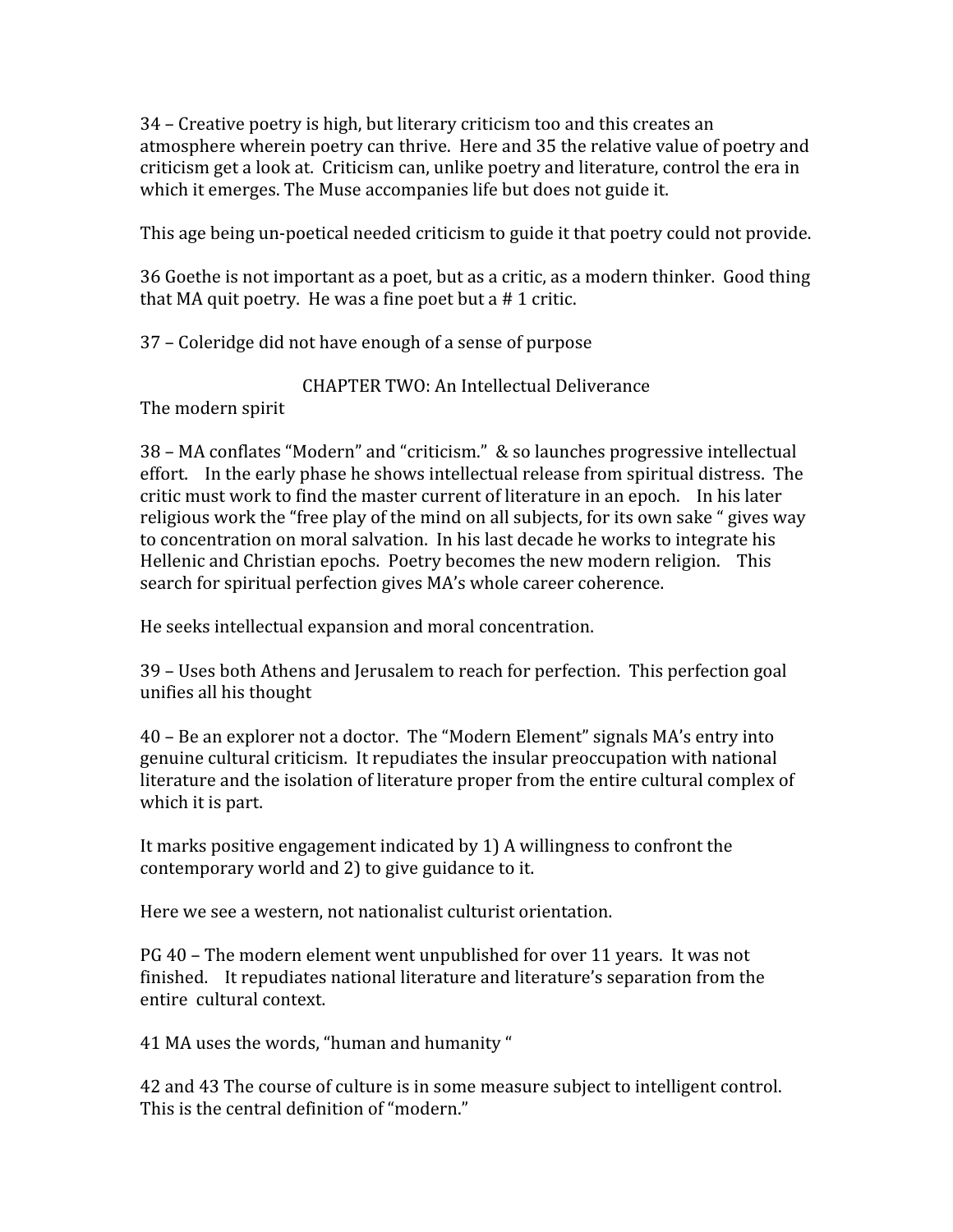34
–
Creative
poetry
is
high,
but
literary
criticism
too
and
this
creates
an atmosphere
wherein
poetry
can
thrive.

Here
and
35
the
relative
value
of
poetry
and criticism get a look at. Criticism can, unlike poetry and literature, control the era in which it emerges. The Muse accompanies life but does not guide it.

This
age
being
un‐poetical
needed
criticism
to
guide
it
that
poetry
could
not
provide.

36
Goethe
is
not
important
as
a
poet,
but
as
a
critic,
as
a
modern
thinker.

Good
thing that
MA
quit
poetry.

He
was
a
fine
poet
but
a
#
1
critic.

37
–
Coleridge
did
not
have
enough
of
a
sense
of
purpose

CHAPTER
TWO:
An
Intellectual
Deliverance

The
modern
spirit

38
–
MA
conflates
"Modern"
and
"criticism."

&
so
launches
progressive
intellectual effort. In the early phase he shows intellectual release from spiritual distress. The critic
must
work
to
find
the
master
current
of
literature
in
an
epoch.

In
his
later religious work the "free play of the mind on all subjects, for its own sake " gives way to concentration on moral salvation. In his last decade he works to integrate his Hellenic and Christian epochs. Poetry becomes the new modern religion. This search
for
spiritual
perfection
gives
MA's
whole
career
coherence.

He
seeks
intellectual
expansion
and
moral
concentration.

39
–
Uses
both
Athens
and
Jerusalem
to
reach
for
perfection.

This
perfection
goal unifies
all
his
thought

40
–
Be
an
explorer
not
a
doctor.

The
"Modern
Element"
signals
MA's
entry
into genuine
cultural
criticism.

It
repudiates
the
insular
preoccupation
with
national literature and the isolation of literature proper from the entire cultural complex of which it is part.

It
marks
positive
engagement
indicated
by
1)
A
willingness
to
confront
the contemporary
world
and
2)
to
give
guidance
to
it.

Here
we
see
a
western,
not
nationalist
culturist
orientation.

PG
40
–
The
modern
element
went
unpublished
for
over
11
years.

It
was
not finished. It repudiates national literature and literature's separation from the entire

cultural
context.

41
MA
uses
the
words,
"human
and
humanity
"

42
and
43
The
course
of
culture
is
in
some
measure
subject
to
intelligent
control. This is the central definition of "modern."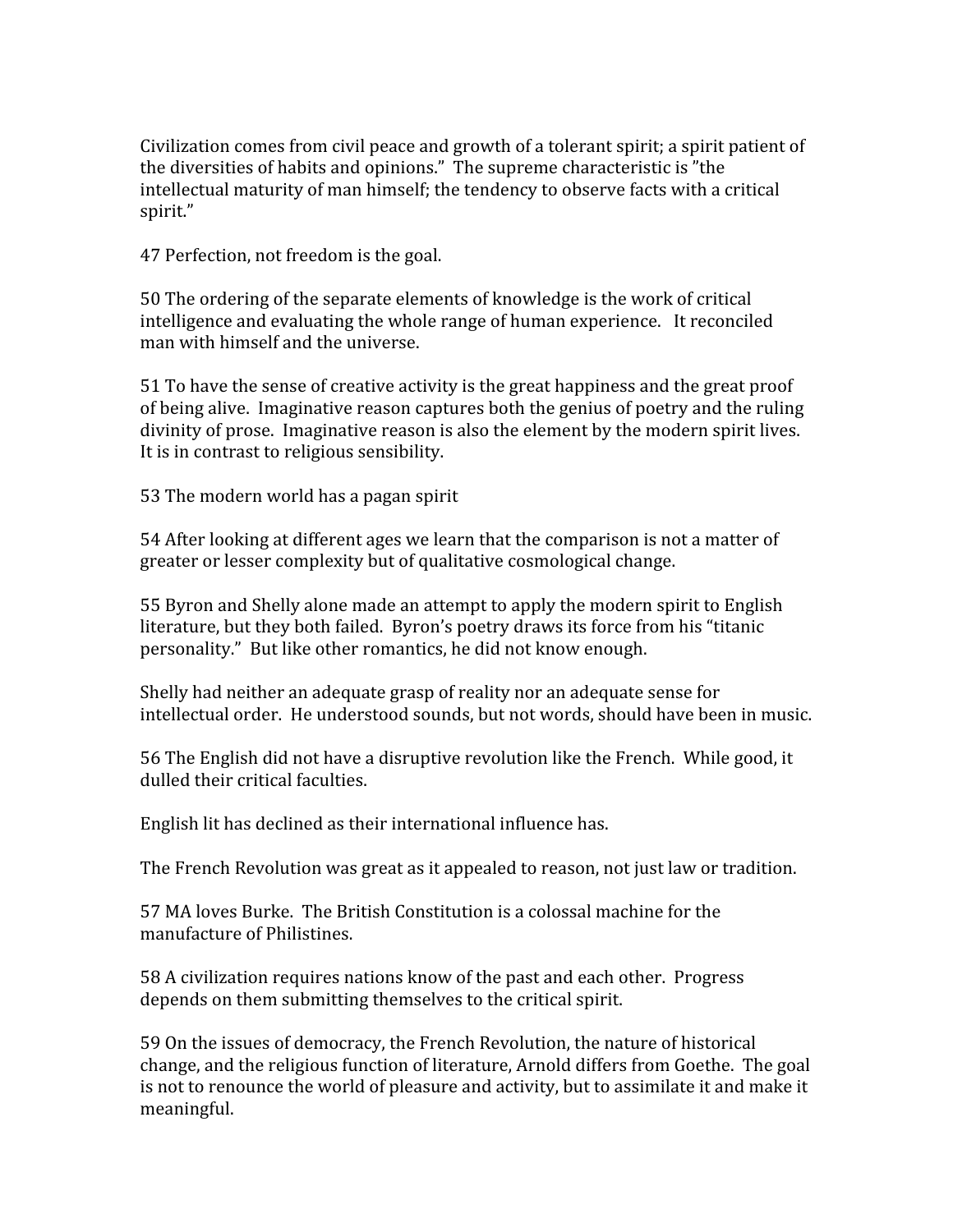Civilization comes from civil peace and growth of a tolerant spirit; a spirit patient of the
diversities
of
habits
and
opinions."

The
supreme
characteristic
is
"the intellectual
maturity
of
man
himself;
the
tendency
to
observe
facts
with
a
critical spirit."

47
Perfection,
not
freedom
is
the
goal.

50
The
ordering
of
the
separate
elements
of
knowledge
is
the
work
of
critical intelligence and evaluating the whole range of human experience. It reconciled man
with
himself
and
the
universe.

51
To
have
the
sense
of
creative
activity
is
the
great
happiness
and
the
great
proof of being alive. Imaginative reason captures both the genius of poetry and the ruling divinity of prose. Imaginative reason is also the element by the modern spirit lives. It is in contrast to religious sensibility.

53
The
modern
world
has
a
pagan
spirit

54 After looking at different ages we learn that the comparison is not a matter of greater
or
lesser
complexity
but
of
qualitative
cosmological
change.

55
Byron
and
Shelly
alone
made
an
attempt
to
apply
the
modern
spirit
to
English literature, but they both failed. Byron's poetry draws its force from his "titanic personality."

But
like
other
romantics,
he
did
not
know
enough.

Shelly had neither an adequate grasp of reality nor an adequate sense for intellectual
order.

He
understood
sounds,
but
not
words,
should
have
been
in
music.

56
The
English
did
not
have
a
disruptive
revolution
like
the
French.

While
good,
it dulled
their
critical
faculties.

English
lit
has
declined
as
their
international
influence
has.

The
French
Revolution
was
great
as
it
appealed
to
reason,
not
just
law
or
tradition.

57
MA
loves
Burke.

The
British
Constitution
is
a
colossal
machine
for
the manufacture
of
Philistines.

58
A
civilization
requires
nations
know
of
the
past
and
each
other.

Progress depends
on
them
submitting
themselves
to
the
critical
spirit.

59
On
the
issues
of
democracy,
the
French
Revolution,
the
nature
of
historical change,
and
the
religious
function
of
literature,
Arnold
differs
from
Goethe.

The
goal is not to renounce the world of pleasure and activity, but to assimilate it and make it meaningful.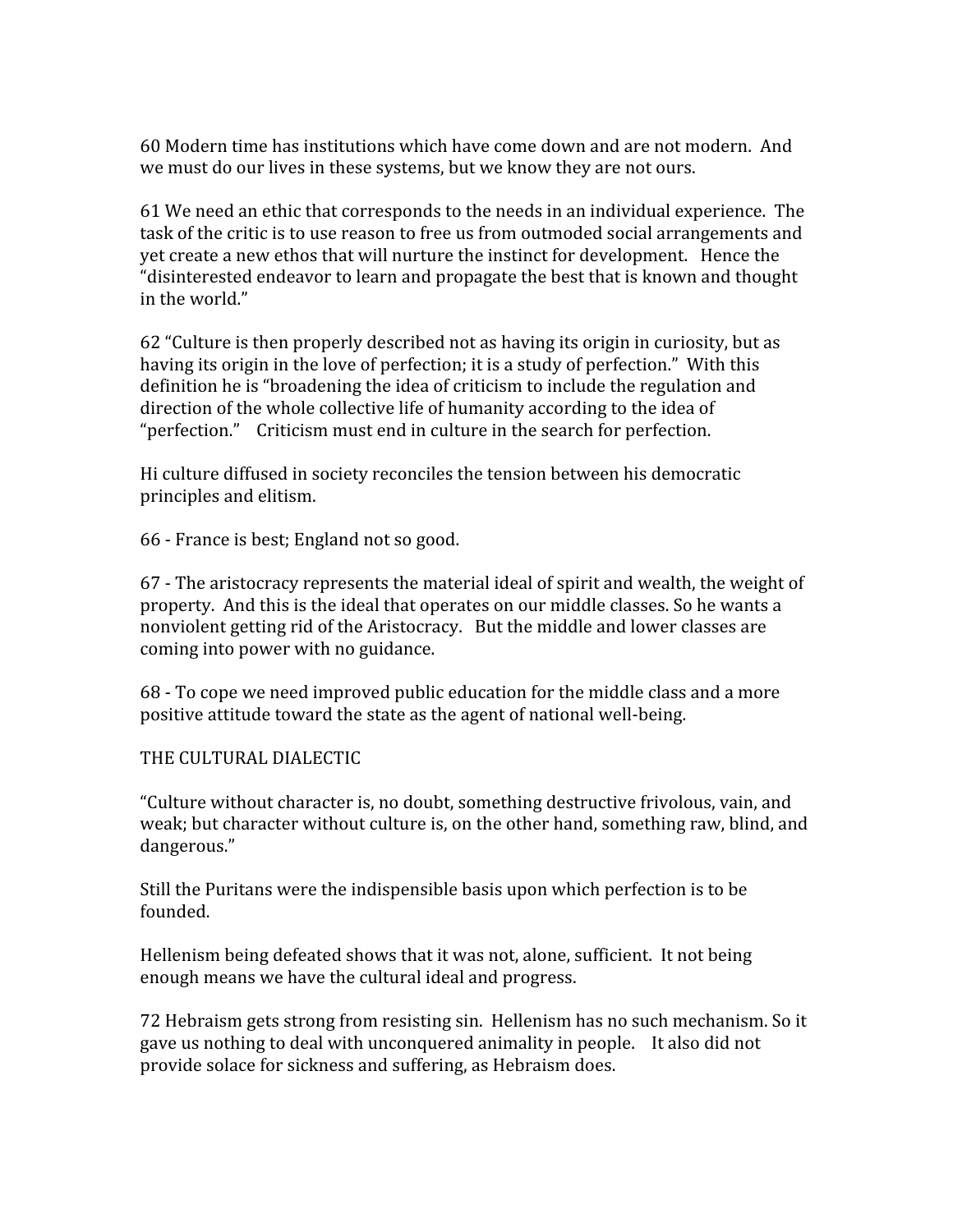60
Modern
time
has
institutions
which
have
come
down
and
are
not
modern.

And we must do our lives in these systems, but we know they are not ours.

61
We
need
an
ethic
that
corresponds
to
the
needs
in
an
individual
experience.

The task of the critic is to use reason to free us from outmoded social arrangements and yet create a new ethos that will nurture the instinct for development. Hence the "disinterested
endeavor
to
learn
and
propagate
the
best
that
is
known
and
thought in
the
world."

62
"Culture
is
then
properly
described
not
as
having
its
origin
in
curiosity,
but
as having its origin in the love of perfection; it is a study of perfection." With this definition he is "broadening the idea of criticism to include the regulation and direction of the whole collective life of humanity according to the idea of "perfection." Criticism must end in culture in the search for perfection.

Hi
culture
diffused
in
society
reconciles
the
tension
between
his
democratic principles
and
elitism.

66
‐
France
is
best;
England
not
so
good.

67
‐
The
aristocracy
represents
the
material
ideal
of
spirit
and
wealth,
the
weight
of property. And this is the ideal that operates on our middle classes. So he wants a nonviolent getting rid of the Aristocracy. But the middle and lower classes are coming
into
power
with
no
guidance.

68
‐
To
cope
we
need
improved
public
education
for
the
middle
class
and
a
more positive
attitude
toward
the
state
as
the
agent
of
national
well‐being.

THE
CULTURAL
DIALECTIC

"Culture
without
character
is,
no
doubt,
something
destructive
frivolous,
vain,
and weak; but character without culture is, on the other hand, something raw, blind, and dangerous."

Still the Puritans were the indispensible basis upon which perfection is to be founded.

Hellenism
being
defeated
shows
that
it
was
not,
alone,
sufficient.

It
not
being enough
means
we
have
the
cultural
ideal
and
progress.

72
Hebraism
gets
strong
from
resisting
sin.

Hellenism
has
no
such
mechanism.
So
it gave
us
nothing
to
deal
with
unconquered
animality
in
people.

It
also
did
not provide
solace
for
sickness
and
suffering,
as
Hebraism
does.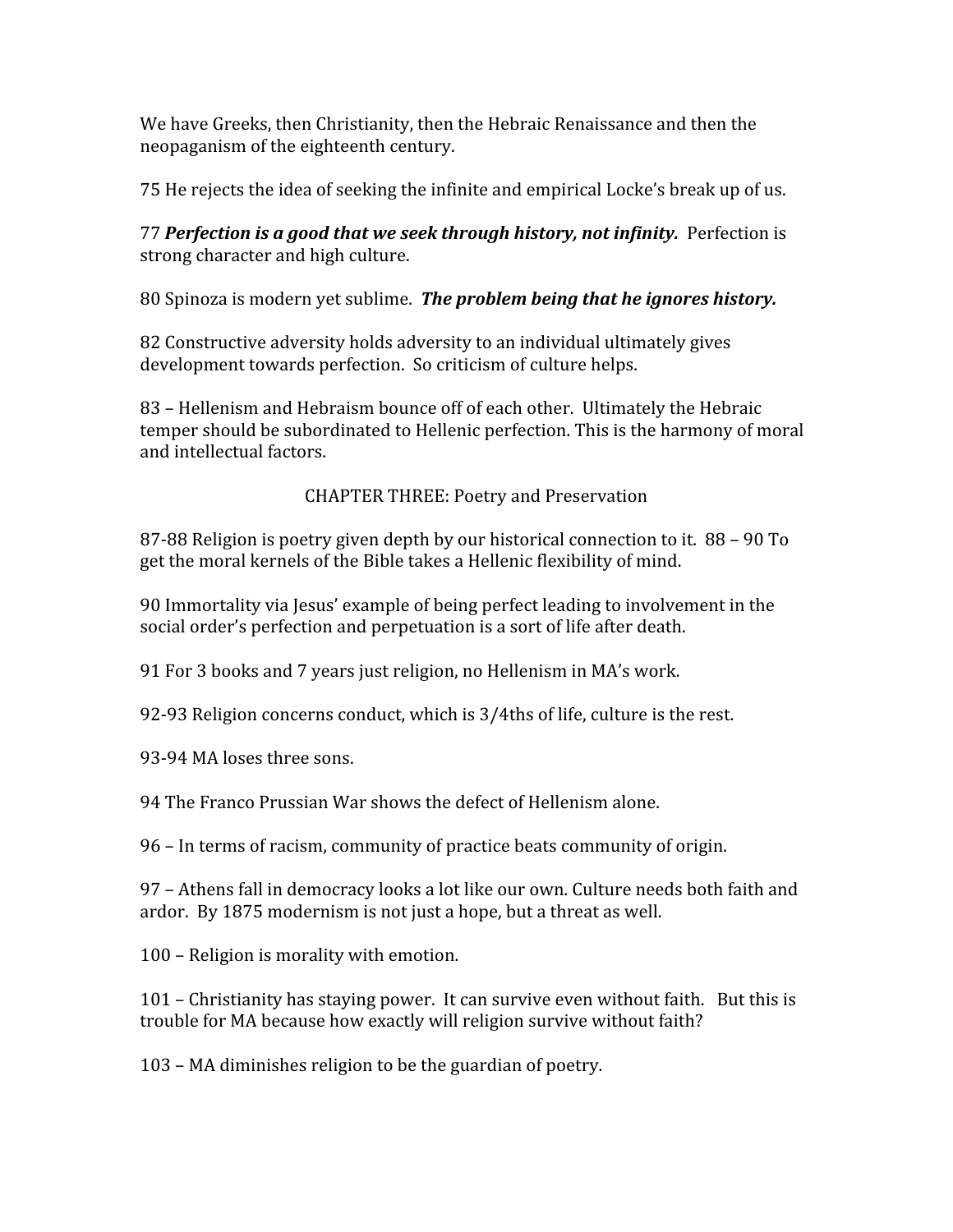We have Greeks, then Christianity, then the Hebraic Renaissance and then the neopaganism
of
the
eighteenth
century.

75
He
rejects
the
idea
of
seeking
the
infinite
and
empirical
Locke's
break
up
of
us.

77 **Perfection is a good that we seek through history, not infinity.** Perfection is strong
character
and
high
culture.

80 Spinoza is modern yet sublime. The problem being that he ignores history.

82
Constructive
adversity
holds
adversity
to
an
individual
ultimately
gives development
towards
perfection.

So
criticism
of
culture
helps.

83
–
Hellenism
and
Hebraism
bounce
off
of
each
other.

Ultimately
the
Hebraic temper should be subordinated to Hellenic perfection. This is the harmony of moral and
intellectual
factors.

CHAPTER
THREE:
Poetry
and
Preservation

87‐88
Religion
is
poetry
given
depth
by
our
historical
connection
to
it.

88
–
90
To get
the
moral
kernels
of
the
Bible
takes
a
Hellenic
flexibility
of
mind.

90 Immortality via Jesus' example of being perfect leading to involvement in the social
order's
perfection
and
perpetuation
is
a
sort
of
life
after
death.

91
For
3
books
and
7
years
just
religion,
no
Hellenism
in
MA's
work.

92‐93
Religion
concerns
conduct,
which
is
3/4ths
of
life,
culture
is
the
rest.

93‐94
MA
loses
three
sons.

94
The
Franco
Prussian
War
shows
the
defect
of
Hellenism
alone.

96
–
In
terms
of
racism,
community
of
practice
beats
community
of
origin.

97
–
Athens
fall
in
democracy
looks
a
lot
like
our
own.
Culture
needs
both
faith
and ardor.

By
1875
modernism
is
not
just
a
hope,
but
a
threat
as
well.

100
–
Religion
is
morality
with
emotion.

101 – Christianity has staying power. It can survive even without faith. But this is trouble
for
MA
because
how
exactly
will
religion
survive
without
faith?

103
–
MA
diminishes
religion
to
be
the
guardian
of
poetry.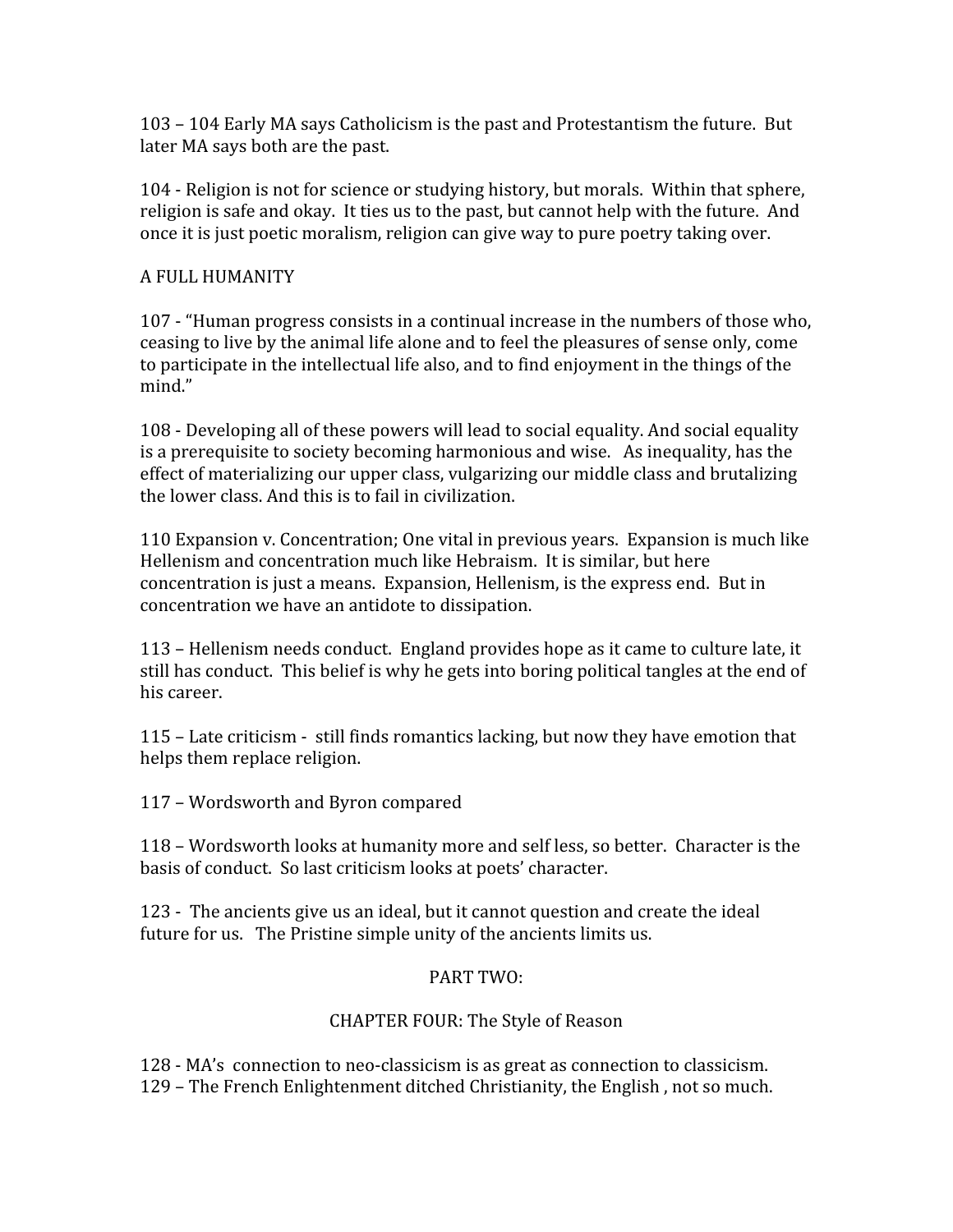103
–
104
Early
MA
says
Catholicism
is
the
past
and
Protestantism
the
future.

But later
MA
says
both
are
the
past.

104
‐
Religion
is
not
for
science
or
studying
history,
but
morals.

Within
that
sphere, religion is safe and okay. It ties us to the past, but cannot help with the future. And once
it
is
just
poetic
moralism,
religion
can
give
way
to
pure
poetry
taking
over.

### A
FULL
HUMANITY

107
‐
"Human
progress
consists
in
a
continual
increase
in
the
numbers
of
those
who, ceasing
to
live
by
the
animal
life
alone
and
to
feel
the
pleasures
of
sense
only,
come to participate in the intellectual life also, and to find enjoyment in the things of the mind."

108
‐
Developing
all
of
these
powers
will
lead
to
social
equality.
And
social
equality is a prerequisite to society becoming harmonious and wise. As inequality, has the effect of materializing our upper class, vulgarizing our middle class and brutalizing the lower class. And this is to fail in civilization.

110 Expansion v. Concentration; One vital in previous years. Expansion is much like Hellenism
and
concentration
much
like
Hebraism.

It
is
similar,
but
here concentration
is
just
a
means.

Expansion,
Hellenism,
is
the
express
end.

But
in concentration
we
have
an
antidote
to
dissipation.

113
–
Hellenism
needs
conduct.

England
provides
hope
as
it
came
to
culture
late,
it still has conduct. This belief is why he gets into boring political tangles at the end of his
career.

115
–
Late
criticism
‐

still
finds
romantics
lacking,
but
now
they
have
emotion
that helps
them
replace
religion.

117
–
Wordsworth
and
Byron
compared

118
–
Wordsworth
looks
at
humanity
more
and
self
less,
so
better.

Character
is
the basis of conduct. So last criticism looks at poets' character.

123
‐

The
ancients
give
us
an
ideal,
but
it
cannot
question
and
create
the
ideal future for us. The Pristine simple unity of the ancients limits us.

## PART
TWO:

## CHAPTER
FOUR:
The
Style
of
Reason

128
‐
MA's

connection
to
neo‐classicism
is
as
great
as
connection
to
classicism. 129
–
The
French
Enlightenment
ditched
Christianity,
the
English
,
not
so
much.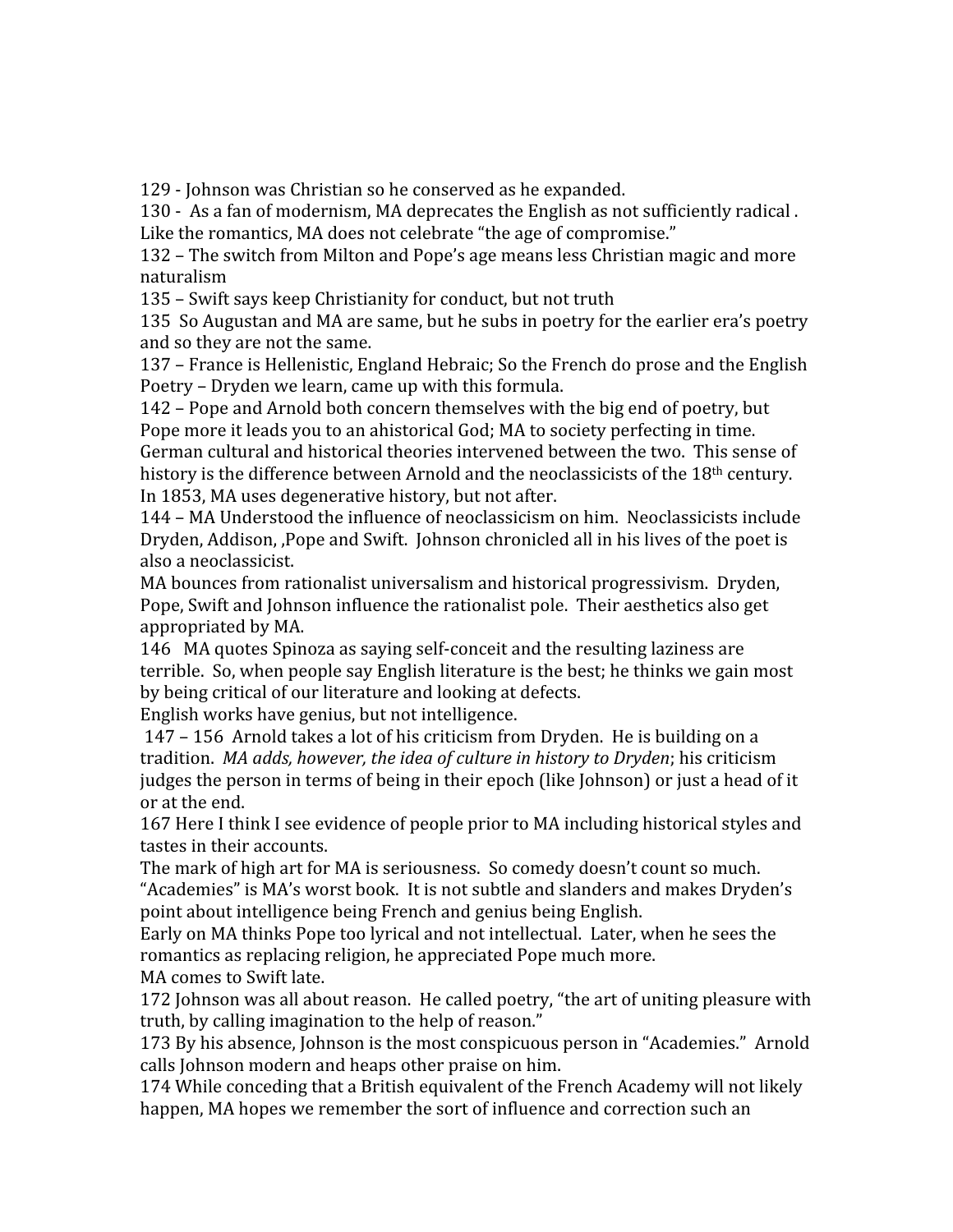129
‐
Johnson
was
Christian
so
he
conserved
as
he
expanded.

130 - As a fan of modernism, MA deprecates the English as not sufficiently radical. Like the romantics, MA does not celebrate "the age of compromise."

132
–
The
switch
from
Milton
and
Pope's
age
means
less
Christian
magic
and
more naturalism

135
–
Swift
says
keep
Christianity
for
conduct,
but
not
truth

135 So Augustan and MA are same, but he subs in poetry for the earlier era's poetry and
so
they
are
not
the
same.

137 – France is Hellenistic, England Hebraic; So the French do prose and the English Poetry
–
Dryden
we
learn,
came
up
with
this
formula.

142
–
Pope
and
Arnold
both
concern
themselves
with
the
big
end
of
poetry,
but Pope more it leads you to an ahistorical God; MA to society perfecting in time. German
cultural
and
historical
theories
intervened
between
the
two.

This
sense
of history is the difference between Arnold and the neoclassicists of the 18<sup>th</sup> century. In
1853,
MA
uses
degenerative
history,
but
not
after.

144
–
MA
Understood
the
influence
of
neoclassicism
on
him.

Neoclassicists
include Dryden, Addison, Pope and Swift. Johnson chronicled all in his lives of the poet is also
a
neoclassicist.

MA
bounces
from
rationalist
universalism
and
historical
progressivism.

Dryden, Pope, Swift and Johnson influence the rationalist pole. Their aesthetics also get appropriated
by
MA.

146 MA quotes Spinoza as saying self-conceit and the resulting laziness are terrible.

So,
when
people
say
English
literature
is
the
best;
he
thinks
we
gain
most by
being
critical
of
our
literature
and
looking
at
defects.

English
works
have
genius,
but
not
intelligence.

147
–
156

Arnold
takes
a
lot
of
his
criticism
from
Dryden.

He
is
building
on
a tradition. *MA
adds,
however,
the
idea
of
culture
in
history
to
Dryden*;
his
criticism judges the person in terms of being in their epoch (like Johnson) or just a head of it or
at
the
end.

167
Here
I
think
I
see
evidence
of
people
prior
to
MA
including
historical
styles
and tastes
in
their
accounts.

The mark of high art for MA is seriousness. So comedy doesn't count so much. "Academies"
is
MA's
worst
book.

It
is
not
subtle
and
slanders
and
makes
Dryden's point
about
intelligence
being
French
and
genius
being
English.

Early
on
MA
thinks
Pope
too
lyrical
and
not
intellectual.

Later,
when
he
sees
the romantics as replacing religion, he appreciated Pope much more. MA
comes
to
Swift
late.

172 Johnson was all about reason. He called poetry, "the art of uniting pleasure with truth, by calling imagination to the help of reason."

173 By his absence, Johnson is the most conspicuous person in "Academies." Arnold calls
Johnson
modern
and
heaps
other
praise
on
him.

174
While
conceding
that
a
British
equivalent
of
the
French
Academy
will
not
likely happen, MA hopes we remember the sort of influence and correction such an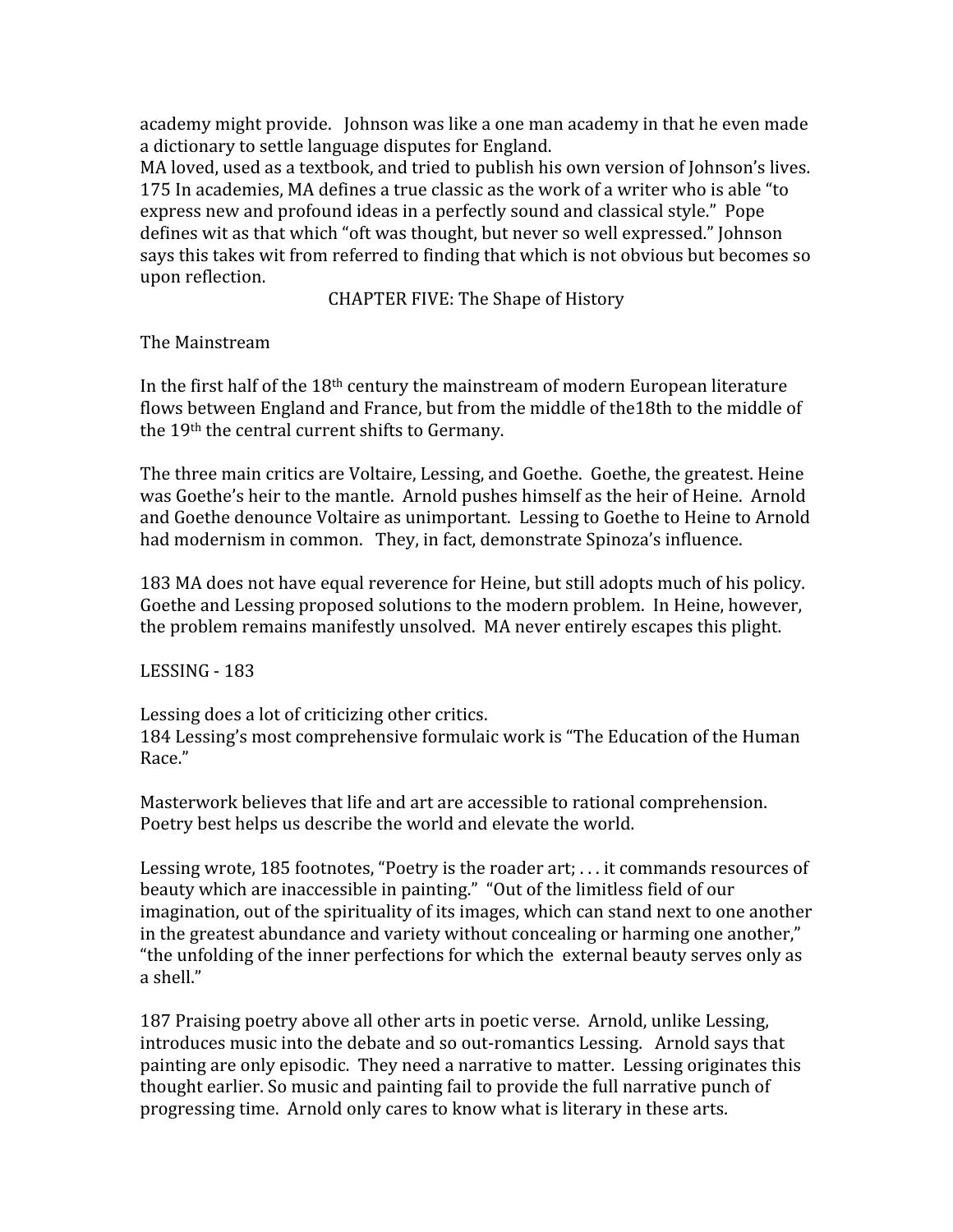academy
might
provide.

Johnson
was
like
a
one
man
academy
in
that
he
even
made a
dictionary
to
settle
language
disputes
for
England.

MA loved, used as a textbook, and tried to publish his own version of Johnson's lives. 175
In
academies,
MA
defines
a
true
classic
as
the
work
of
a
writer
who
is
able
"to express
new
and
profound
ideas
in
a
perfectly
sound
and
classical
style."

Pope defines
wit
as
that
which
"oft
was
thought,
but
never
so
well
expressed."
Johnson says this takes wit from referred to finding that which is not obvious but becomes so upon
reflection.

CHAPTER
FIVE:
The
Shape
of
History

The
Mainstream

In the first half of the 18<sup>th</sup> century the mainstream of modern European literature flows between England and France, but from the middle of the 18th to the middle of the
19th
the
central
current
shifts
to
Germany.

The
three
main
critics
are
Voltaire,
Lessing,
and
Goethe.

Goethe,
the
greatest.
Heine was Goethe's heir to the mantle. Arnold pushes himself as the heir of Heine. Arnold and
Goethe
denounce
Voltaire
as
unimportant.

Lessing
to
Goethe
to
Heine
to
Arnold had modernism in common. They, in fact, demonstrate Spinoza's influence.

183
MA
does
not
have
equal
reverence
for
Heine,
but
still
adopts
much
of
his
policy. Goethe and Lessing proposed solutions to the modern problem. In Heine, however, the
problem
remains
manifestly
unsolved.

MA
never
entirely
escapes
this
plight.

LESSING
‐
183

Lessing does a lot of criticizing other critics. 184
Lessing's
most
comprehensive
formulaic
work
is
"The
Education
of
the
Human Race."

Masterwork
believes
that
life
and
art
are
accessible
to
rational
comprehension. Poetry best helps us describe the world and elevate the world.

Lessing wrote, 185 footnotes, "Poetry is the roader art; ... it commands resources of beauty which are inaccessible in painting." "Out of the limitless field of our imagination, out of the spirituality of its images, which can stand next to one another in the greatest abundance and variety without concealing or harming one another," "the unfolding of the inner perfections for which the external beauty serves only as a
shell."

187 Praising poetry above all other arts in poetic verse. Arnold, unlike Lessing, introduces music into the debate and so out-romantics Lessing. Arnold says that painting
are
only
episodic.

They
need
a
narrative
to
matter.

Lessing
originates
this thought
earlier.
So
music
and
painting
fail
to
provide
the
full
narrative
punch
of progressing
time.

Arnold
only
cares
to
know
what
is
literary
in
these
arts.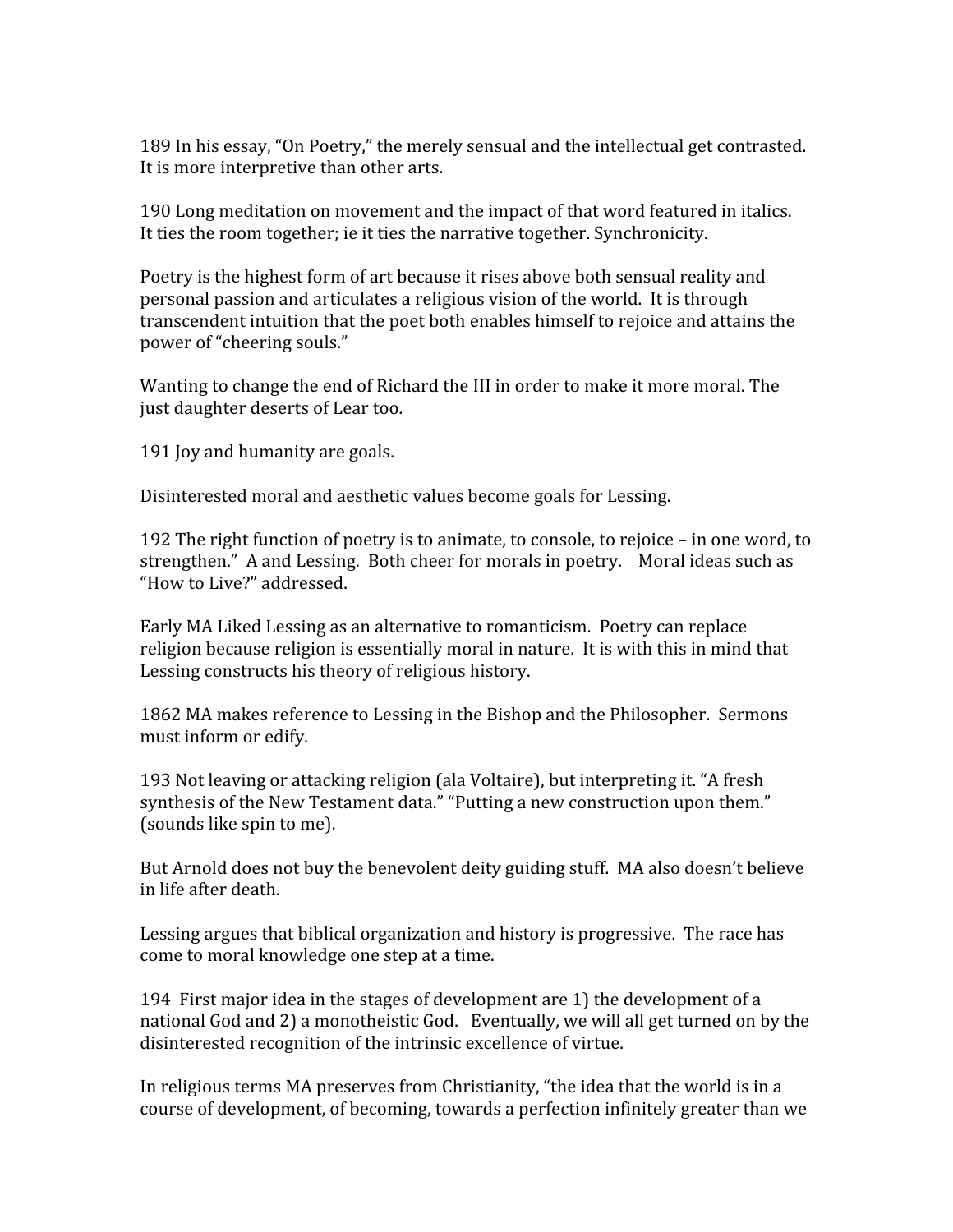189
In
his
essay,
"On
Poetry,"
the
merely
sensual
and
the
intellectual
get
contrasted. It
is
more
interpretive
than
other
arts.

190
Long
meditation
on
movement
and
the
impact
of
that
word
featured
in
italics. It ties the room together; ie it ties the narrative together. Synchronicity,

Poetry is the highest form of art because it rises above both sensual reality and personal
passion
and
articulates
a
religious
vision
of
the
world.

It
is
through transcendent intuition that the poet both enables himself to rejoice and attains the power
of
"cheering
souls."

Wanting to change the end of Richard the III in order to make it more moral. The just
daughter
deserts
of
Lear
too.

191
Joy
and
humanity
are
goals.

Disinterested
moral
and
aesthetic
values
become
goals
for
Lessing.

192
The
right
function
of
poetry
is
to
animate,
to
console,
to
rejoice
–
in
one
word,
to strengthen."

A
and
Lessing.

Both
cheer
for
morals
in
poetry.

Moral
ideas
such
as "How
to
Live?"
addressed.

Early
MA
Liked
Lessing
as
an
alternative
to
romanticism.

Poetry
can
replace religion because religion is essentially moral in nature. It is with this in mind that Lessing
constructs
his
theory
of
religious
history.

1862
MA
makes
reference
to
Lessing
in
the
Bishop
and
the
Philosopher.

Sermons must
inform
or
edify.

193
Not
leaving
or
attacking
religion
(ala
Voltaire),
but
interpreting
it.
"A
fresh synthesis of the New Testament data." "Putting a new construction upon them." (sounds
like
spin
to
me).

But Arnold does not buy the benevolent deity guiding stuff. MA also doesn't believe in
life
after
death.

Lessing argues that biblical organization and history is progressive. The race has come
to
moral
knowledge
one
step
at
a
time.

194

First
major
idea
in
the
stages
of
development
are
1)
the
development
of
a national God and 2) a monotheistic God. Eventually, we will all get turned on by the disinterested recognition of the intrinsic excellence of virtue.

In religious terms MA preserves from Christianity, "the idea that the world is in a course
of
development,
of
becoming,
towards
a
perfection
infinitely
greater
than
we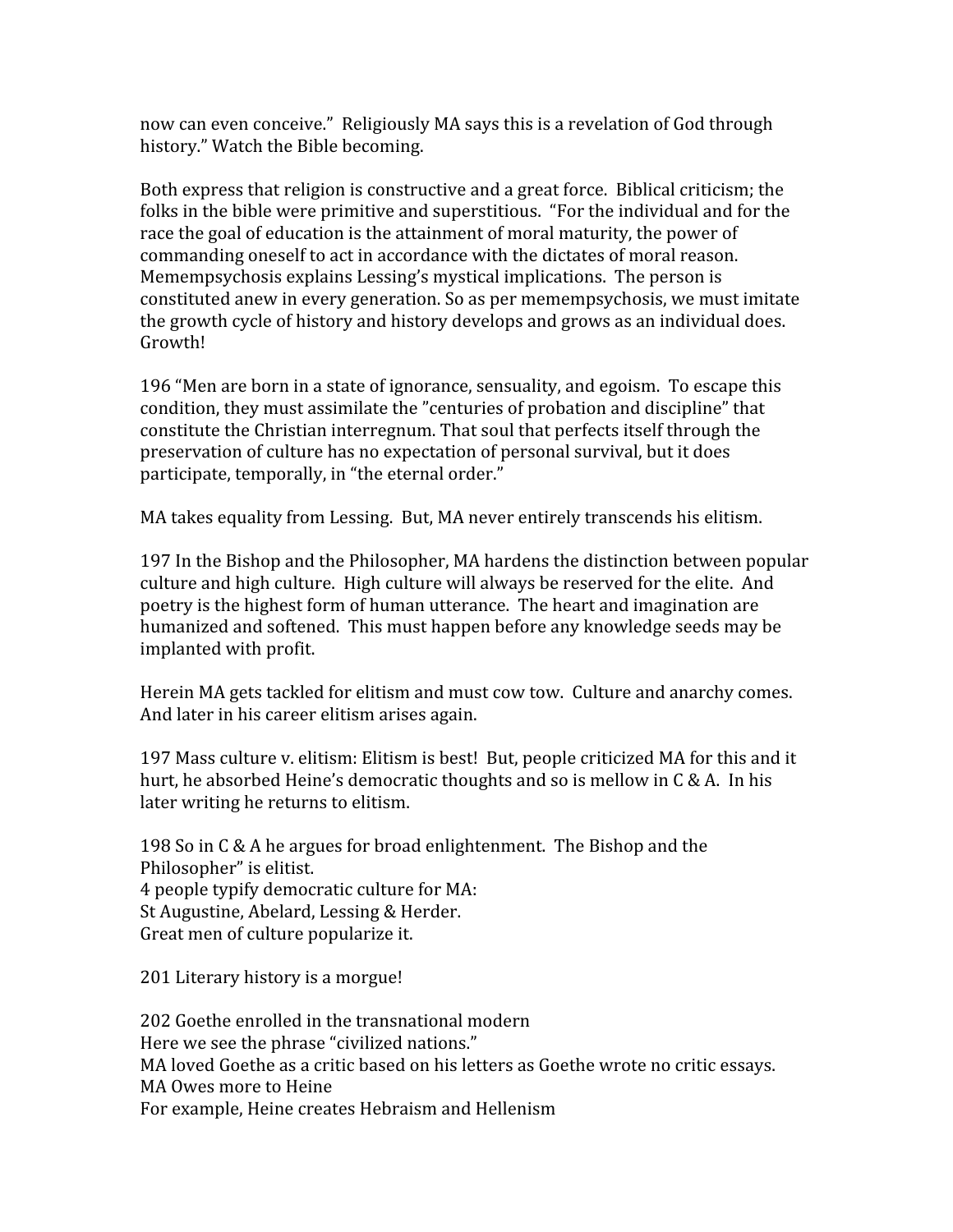now
can
even
conceive."

Religiously
MA
says
this
is
a
revelation
of
God
through history."
Watch
the
Bible
becoming.

Both
express
that
religion
is
constructive
and
a
great
force.

Biblical
criticism;
the folks in the bible were primitive and superstitious. "For the individual and for the race the goal of education is the attainment of moral maturity, the power of commanding
oneself
to
act
in
accordance
with
the
dictates
of
moral
reason. Memempsychosis
explains
Lessing's
mystical
implications.

The
person
is constituted
anew
in
every
generation.
So
as
per
memempsychosis,
we
must
imitate the growth cycle of history and history develops and grows as an individual does. Growth!

196
"Men
are
born
in
a
state
of
ignorance,
sensuality,
and
egoism.

To
escape
this condition,
they
must
assimilate
the
"centuries
of
probation
and
discipline"
that constitute
the
Christian
interregnum.
That
soul
that
perfects
itself
through
the preservation
of
culture
has
no
expectation
of
personal
survival,
but
it
does participate,
temporally,
in
"the
eternal
order."

MA
takes
equality
from
Lessing.

But,
MA
never
entirely
transcends
his
elitism.

197
In
the
Bishop
and
the
Philosopher,
MA
hardens
the
distinction
between
popular culture and high culture. High culture will always be reserved for the elite. And poetry
is
the
highest
form
of
human
utterance.

The
heart
and
imagination
are humanized
and
softened.

This
must
happen
before
any
knowledge
seeds
may
be implanted
with
profit.

Herein MA gets tackled for elitism and must cow tow. Culture and anarchy comes. And
later
in
his
career
elitism
arises
again.

197 Mass culture v. elitism: Elitism is best! But, people criticized MA for this and it hurt, he absorbed Heine's democratic thoughts and so is mellow in C & A. In his later
writing
he
returns
to
elitism.

198
So
in
C
&
A
he
argues
for
broad
enlightenment.

The
Bishop
and
the Philosopher"
is
elitist. 4
people
typify
democratic
culture
for
MA: St
Augustine,
Abelard,
Lessing
&
Herder. Great
men
of
culture
popularize
it.

201 Literary history is a morgue!

202
Goethe
enrolled
in
the
transnational
modern Here
we
see
the
phrase
"civilized
nations." MA
loved
Goethe
as
a
critic
based
on
his
letters
as
Goethe
wrote
no
critic
essays. MA
Owes
more
to
Heine For
example,
Heine
creates
Hebraism
and
Hellenism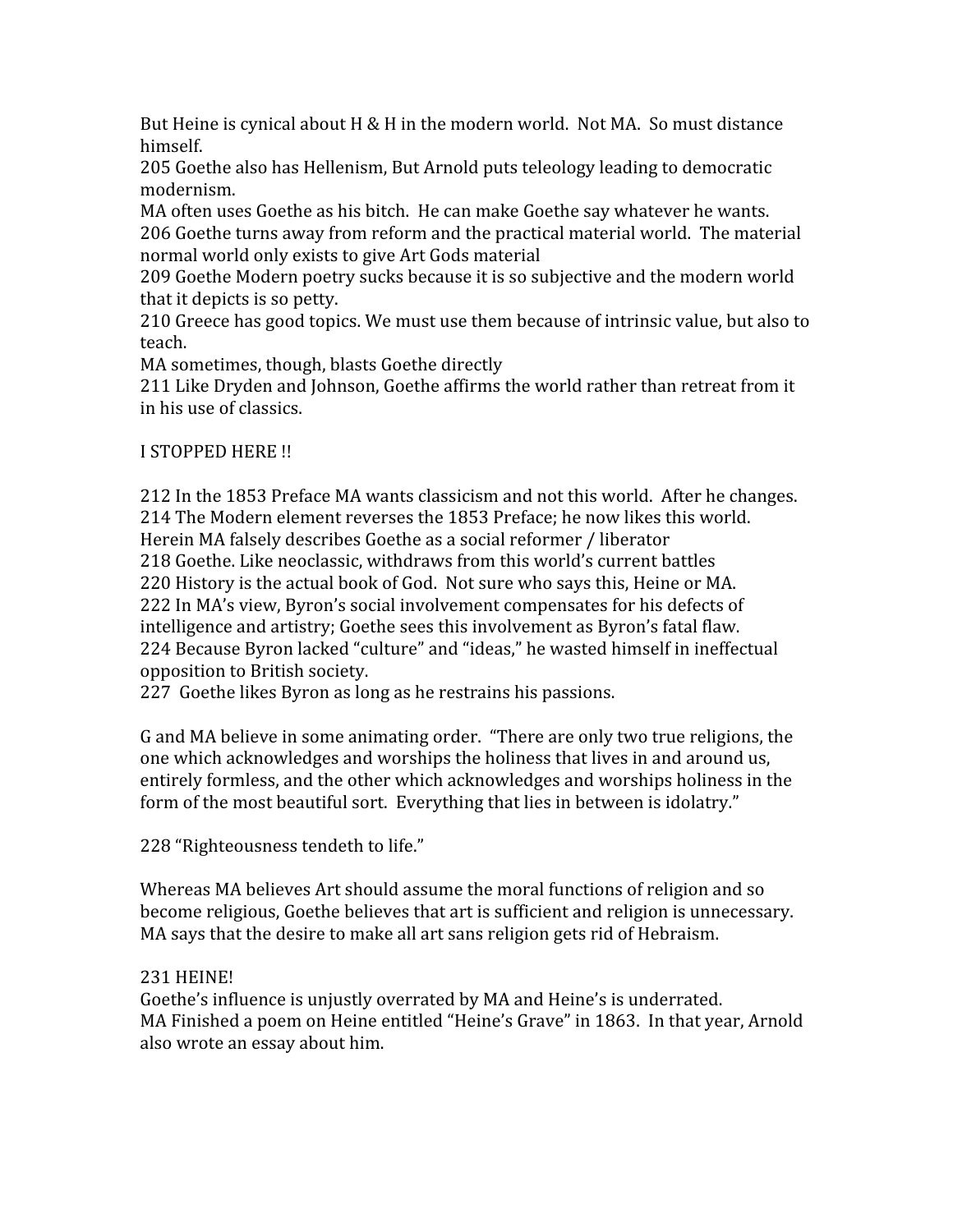But Heine is cynical about H & H in the modern world. Not MA. So must distance himself.

205
Goethe
also
has
Hellenism,
But
Arnold
puts
teleology
leading
to
democratic modernism.

MA
often
uses
Goethe
as
his
bitch.

He
can
make
Goethe
say
whatever
he
wants. 206
Goethe
turns
away
from
reform
and
the
practical
material
world.

The
material normal
world
only
exists
to
give
Art
Gods
material

209
Goethe
Modern
poetry
sucks
because
it
is
so
subjective
and
the
modern
world that
it
depicts
is
so
petty.

210
Greece
has
good
topics.
We
must
use
them
because
of
intrinsic
value,
but
also
to teach.

MA
sometimes,
though,
blasts
Goethe
directly

211 Like Dryden and Johnson, Goethe affirms the world rather than retreat from it in
his
use
of
classics.

# I
STOPPED
HERE
!!

212
In
the
1853
Preface
MA
wants
classicism
and
not
this
world.

After
he
changes. 214
The
Modern
element
reverses
the
1853
Preface;
he
now
likes
this
world. Herein
MA
falsely
describes
Goethe
as
a
social
reformer
/
liberator 218
Goethe.
Like
neoclassic,
withdraws
from
this
world's
current
battles 220 History is the actual book of God. Not sure who says this, Heine or MA. 222
In
MA's
view,
Byron's
social
involvement
compensates
for
his
defects
of intelligence
and
artistry;
Goethe
sees
this
involvement
as
Byron's
fatal
flaw. 224 Because Byron lacked "culture" and "ideas," he wasted himself in ineffectual opposition
to
British
society.

227

Goethe
likes
Byron
as
long
as
he
restrains
his
passions.

G and MA believe in some animating order. "There are only two true religions, the one
which
acknowledges
and
worships
the
holiness
that
lives
in
and
around
us, entirely formless, and the other which acknowledges and worships holiness in the form of the most beautiful sort. Everything that lies in between is idolatry."

228
"Righteousness
tendeth
to
life."

Whereas MA believes Art should assume the moral functions of religion and so become religious, Goethe believes that art is sufficient and religion is unnecessary. MA says that the desire to make all art sans religion gets rid of Hebraism.

# 231
HEINE!

Goethe's influence is unjustly overrated by MA and Heine's is underrated. MA Finished a poem on Heine entitled "Heine's Grave" in 1863. In that year, Arnold also
wrote
an
essay
about
him.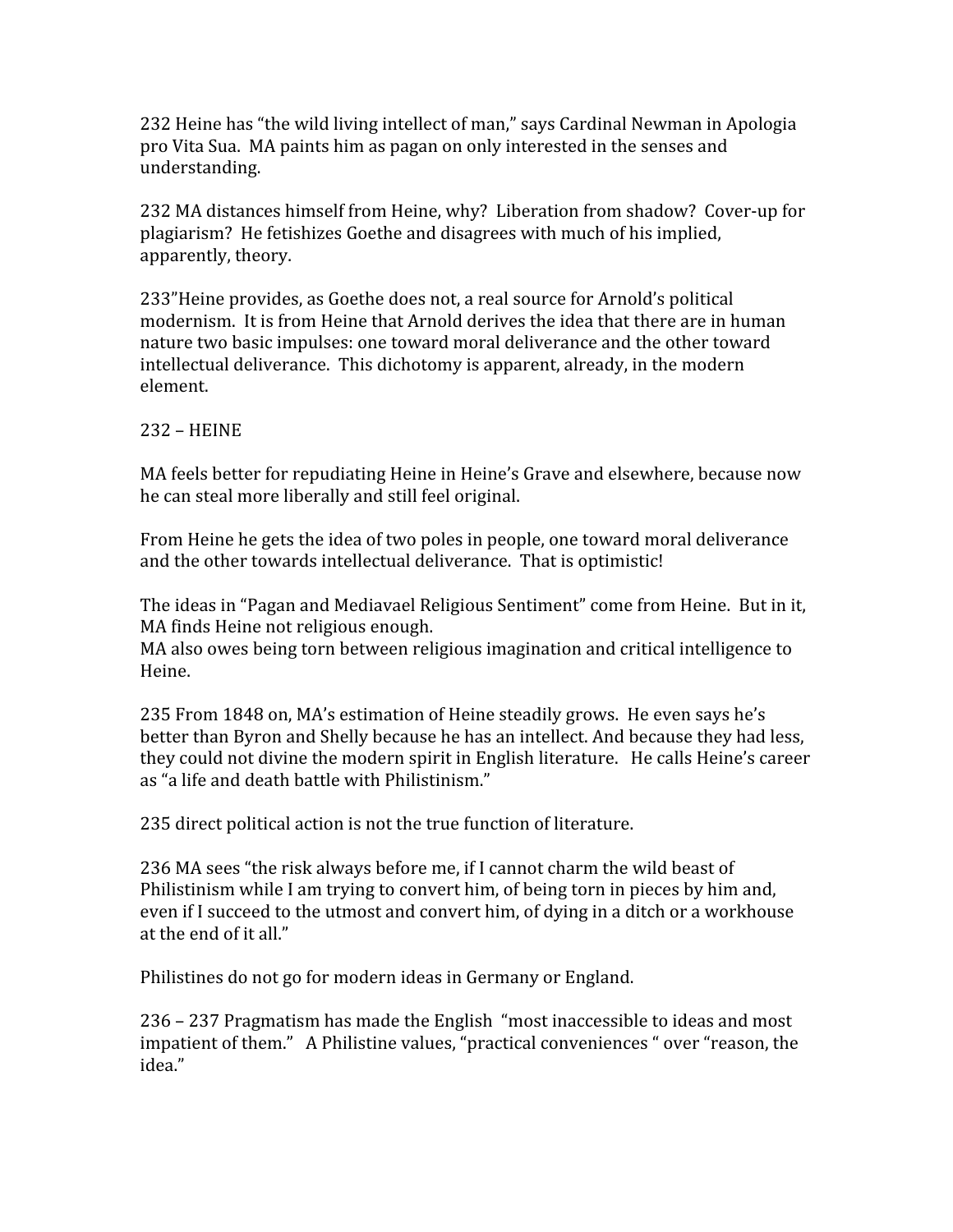232 Heine has "the wild living intellect of man," says Cardinal Newman in Apologia pro Vita Sua. MA paints him as pagan on only interested in the senses and understanding.

232
MA
distances
himself
from
Heine,
why?

Liberation
from
shadow?

Cover‐up
for plagiarism?

He
fetishizes
Goethe
and
disagrees
with
much
of
his
implied, apparently,
theory.

233"Heine
provides,
as
Goethe
does
not,
a
real
source
for
Arnold's
political modernism. It is from Heine that Arnold derives the idea that there are in human nature
two
basic
impulses:
one
toward
moral
deliverance
and
the
other
toward intellectual
deliverance.

This
dichotomy
is
apparent,
already,
in
the
modern element.

#### 232
–
HEINE

MA feels better for repudiating Heine in Heine's Grave and elsewhere, because now he
can
steal
more
liberally
and
still
feel
original.

From
Heine
he
gets
the
idea
of
two
poles
in
people,
one
toward
moral
deliverance and
the
other
towards
intellectual
deliverance.

That
is
optimistic!

The ideas in "Pagan and Mediavael Religious Sentiment" come from Heine. But in it, MA
finds
Heine
not
religious
enough.

MA also owes being torn between religious imagination and critical intelligence to Heine.

235
From
1848
on,
MA's
estimation
of
Heine
steadily
grows.

He
even
says
he's better than Byron and Shelly because he has an intellect. And because they had less, they could not divine the modern spirit in English literature. He calls Heine's career as
"a
life
and
death
battle
with
Philistinism."

235
direct
political
action
is
not
the
true
function
of
literature.

236 MA sees "the risk always before me, if I cannot charm the wild beast of Philistinism while I am trying to convert him, of being torn in pieces by him and, even if I succeed to the utmost and convert him, of dying in a ditch or a workhouse at
the
end
of
it
all."

Philistines
do
not
go
for
modern
ideas
in
Germany
or
England.

236
–
237
Pragmatism
has
made
the
English

"most
inaccessible
to
ideas
and
most impatient of them." A Philistine values, "practical conveniences " over "reason, the idea."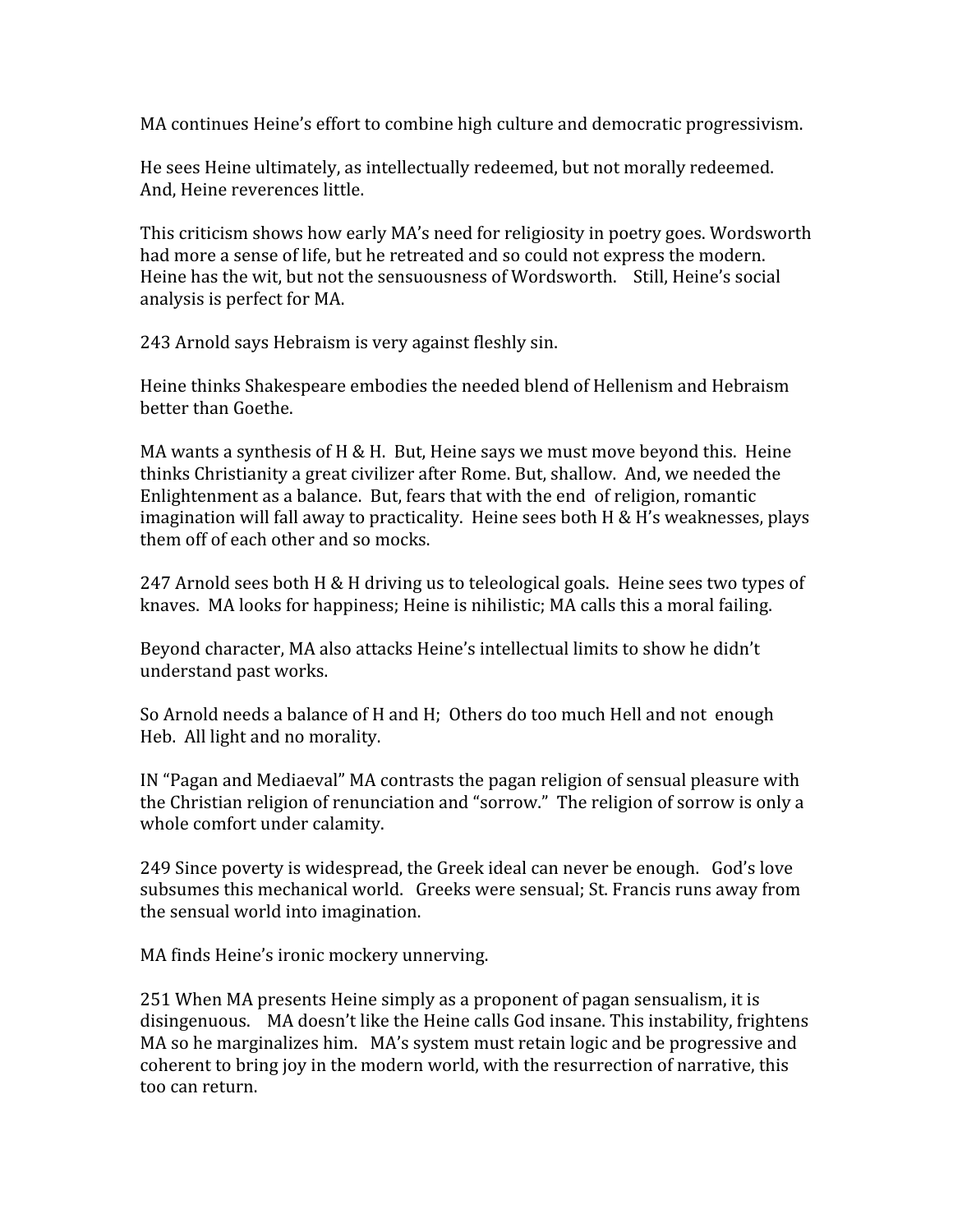MA
continues
Heine's
effort
to
combine
high
culture
and
democratic
progressivism.

He
sees
Heine
ultimately,
as
intellectually
redeemed,
but
not
morally
redeemed. And,
Heine
reverences
little.

This
criticism
shows
how
early
MA's
need
for
religiosity
in
poetry
goes.
Wordsworth had more a sense of life, but he retreated and so could not express the modern. Heine has the wit, but not the sensuousness of Wordsworth. Still, Heine's social analysis
is
perfect
for
MA.

243
Arnold
says
Hebraism
is
very
against
fleshly
sin.

Heine
thinks
Shakespeare
embodies
the
needed
blend
of
Hellenism
and
Hebraism better
than
Goethe.

MA wants a synthesis of H & H. But, Heine says we must move beyond this. Heine thinks
Christianity
a
great
civilizer
after
Rome.
But,
shallow.

And,
we
needed
the Enlightenment
as
a
balance.

But,
fears
that
with
the
end

of
religion,
romantic imagination will fall away to practicality. Heine sees both H & H's weaknesses, plays them
off
of
each
other
and
so
mocks.

247
Arnold
sees
both
H
&
H
driving
us
to
teleological
goals.

Heine
sees
two
types
of knaves. MA looks for happiness; Heine is nihilistic; MA calls this a moral failing.

Beyond character, MA also attacks Heine's intellectual limits to show he didn't understand
past
works.

So Arnold needs a balance of H and H; Others do too much Hell and not enough Heb.

All
light
and
no
morality.

IN "Pagan and Mediaeval" MA contrasts the pagan religion of sensual pleasure with the Christian religion of renunciation and "sorrow." The religion of sorrow is only a whole
comfort
under
calamity.

249
Since
poverty
is
widespread,
the
Greek
ideal
can
never
be
enough.

God's
love subsumes
this
mechanical
world.

Greeks
were
sensual;
St.
Francis
runs
away
from the
sensual
world
into
imagination.

MA
finds
Heine's
ironic
mockery
unnerving.

251
When
MA
presents
Heine
simply
as
a
proponent
of
pagan
sensualism,
it
is disingenuous. MA doesn't like the Heine calls God insane. This instability, frightens MA so he marginalizes him. MA's system must retain logic and be progressive and coherent
to
bring
joy
in
the
modern
world,
with
the
resurrection
of
narrative,
this too
can
return.